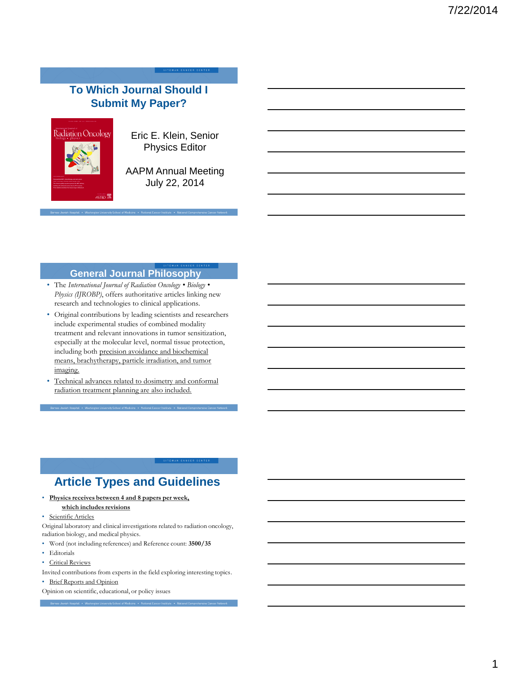## **To Which Journal Should I Submit My Paper?**



Eric E. Klein, Senior Physics Editor

AAPM Annual Meeting July 22, 2014

### **General Journal Philosophy**

- The *International Journal of Radiation Oncology Biology Physics (IJROBP)*, offers authoritative articles linking new research and technologies to clinical applications.
- Original contributions by leading scientists and researchers include experimental studies of combined modality treatment and relevant innovations in tumor sensitization, especially at the molecular level, normal tissue protection, including both precision avoidance and biochemical means, brachytherapy, particle irradiation, and tumor imaging.
- Technical advances related to dosimetry and conformal radiation treatment planning are also included.

# **Article Types and Guidelines**

• **Physics receives between 4 and 8 papers per week, which includes revisions**

#### Scientific Articles

- Original laboratory and clinical investigations related to radiation oncology, radiation biology, and medical physics.
- Word (not including references) and Reference count: **3500/35**
- Editorials
- Critical Reviews
- Invited contributions from experts in the field exploring interesting topics.
- Brief Reports and Opinion
- Opinion on scientific, educational, or policy issues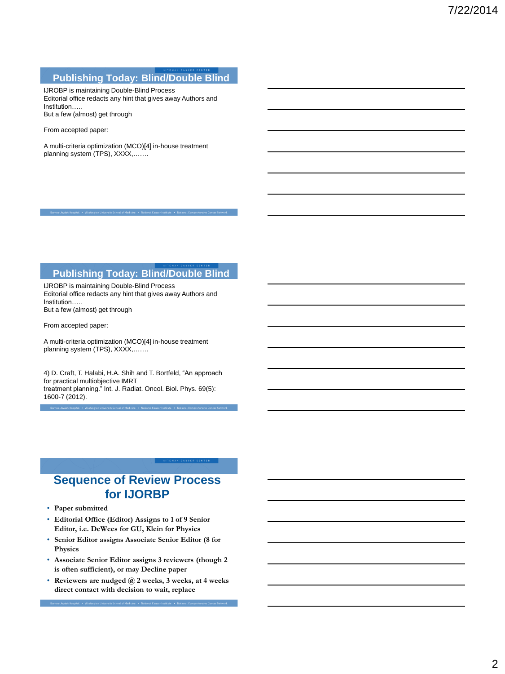#### **Publishing Today: Blind/Double Blind**

IJROBP is maintaining Double-Blind Process Editorial office redacts any hint that gives away Authors and Institution….. But a few (almost) get through

From accepted paper:

A multi-criteria optimization (MCO)[4] in-house treatment planning system (TPS), XXXX,.......

### **Publishing Today: Blind/Double Blind**

IJROBP is maintaining Double-Blind Process Editorial office redacts any hint that gives away Authors and Institution….. But a few (almost) get through

From accepted paper:

A multi-criteria optimization (MCO)[4] in-house treatment planning system (TPS), XXXX,…….

4) D. Craft, T. Halabi, H.A. Shih and T. Bortfeld, "An approach for practical multiobjective IMRT treatment planning." Int. J. Radiat. Oncol. Biol. Phys. 69(5): 1600-7 (2012).

## **Sequence of Review Process for IJORBP**

- **Paper submitted**
- **Editorial Office (Editor) Assigns to 1 of 9 Senior Editor, i.e. DeWees for GU, Klein for Physics**
- **Senior Editor assigns Associate Senior Editor (8 for Physics**
- **Associate Senior Editor assigns 3 reviewers (though 2 is often sufficient), or may Decline paper**
- **Reviewers are nudged @ 2 weeks, 3 weeks, at 4 weeks direct contact with decision to wait, replace**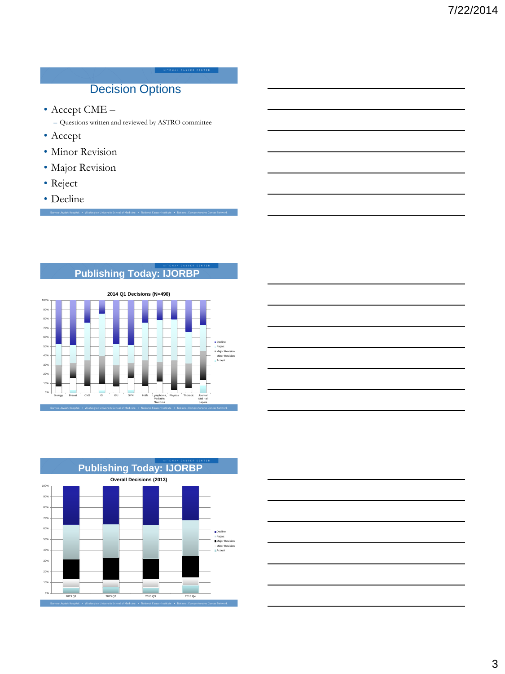## Decision Options

• Accept CME –

– Questions written and reviewed by ASTRO committee

- Accept
- Minor Revision
- Major Revision

Barnes-Jewish Hospital . Washington University School of Medicine . Natio

- Reject
- Decline

## **Publishing Today: IJORBP**







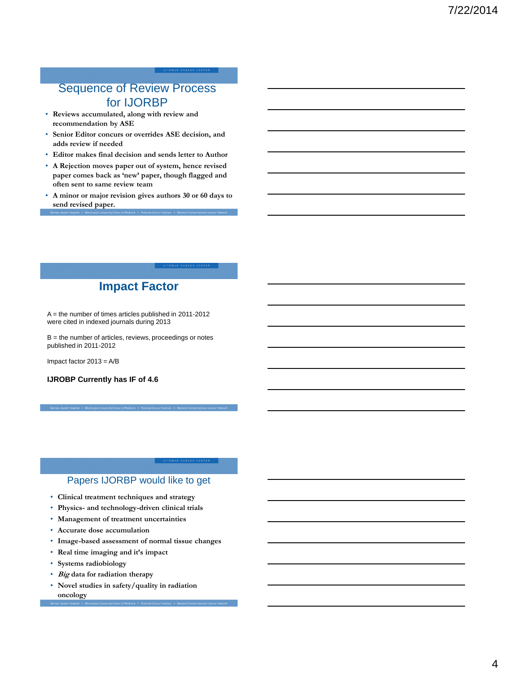## Sequence of Review Process for IJORBP

- **Reviews accumulated, along with review and recommendation by ASE**
- **Senior Editor concurs or overrides ASE decision, and adds review if needed**
- **Editor makes final decision and sends letter to Author**
- **A Rejection moves paper out of system, hence revised paper comes back as 'new' paper, though flagged and often sent to same review team**
- **A minor or major revision gives authors 30 or 60 days to send revised paper.**

## **Impact Factor**

A = the number of times articles published in 2011-2012 were cited in indexed journals during 2013

 $B =$  the number of articles, reviews, proceedings or notes published in 2011-2012

Impact factor 2013 = A/B

**IJROBP Currently has IF of 4.6**

### Papers IJORBP would like to get

- **Clinical treatment techniques and strategy**
- **Physics- and technology-driven clinical trials**
- **Management of treatment uncertainties**
- **Accurate dose accumulation**
- **Image-based assessment of normal tissue changes**
- **Real time imaging and it's impact**
- **Systems radiobiology**
- **Big data for radiation therapy**
- **Novel studies in safety/quality in radiation oncology**